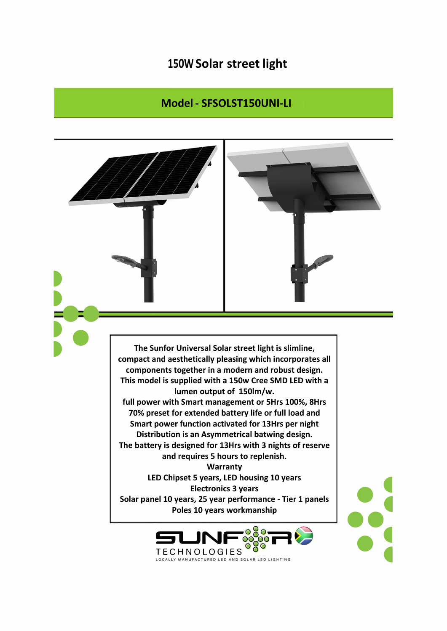## **150W Solar street light**

## **Model - SFSOLST150UNI-LI**